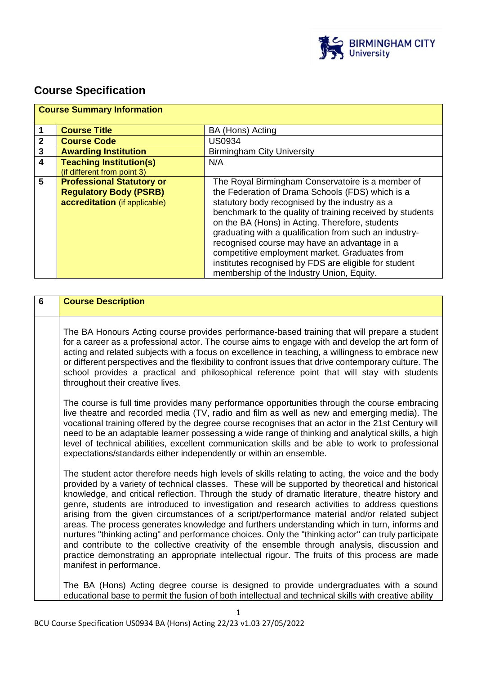

# **Course Specification**

|              | <b>Course Summary Information</b> |                                                           |  |  |
|--------------|-----------------------------------|-----------------------------------------------------------|--|--|
|              | <b>Course Title</b>               | BA (Hons) Acting                                          |  |  |
| $\mathbf{2}$ | <b>Course Code</b>                | <b>US0934</b>                                             |  |  |
| $\mathbf{3}$ | <b>Awarding Institution</b>       | <b>Birmingham City University</b>                         |  |  |
| 4            | <b>Teaching Institution(s)</b>    | N/A                                                       |  |  |
|              | (if different from point 3)       |                                                           |  |  |
| 5            | <b>Professional Statutory or</b>  | The Royal Birmingham Conservatoire is a member of         |  |  |
|              | <b>Regulatory Body (PSRB)</b>     | the Federation of Drama Schools (FDS) which is a          |  |  |
|              | accreditation (if applicable)     | statutory body recognised by the industry as a            |  |  |
|              |                                   | benchmark to the quality of training received by students |  |  |
|              |                                   | on the BA (Hons) in Acting. Therefore, students           |  |  |
|              |                                   | graduating with a qualification from such an industry-    |  |  |
|              |                                   | recognised course may have an advantage in a              |  |  |
|              |                                   | competitive employment market. Graduates from             |  |  |
|              |                                   | institutes recognised by FDS are eligible for student     |  |  |
|              |                                   | membership of the Industry Union, Equity.                 |  |  |

| $6\phantom{1}$ | <b>Course Description</b>                                                                                                                                                                                                                                                                                                                                                                                                                                                                                                                                                                                                                                                                                                                                                                                                                                                                                                                         |
|----------------|---------------------------------------------------------------------------------------------------------------------------------------------------------------------------------------------------------------------------------------------------------------------------------------------------------------------------------------------------------------------------------------------------------------------------------------------------------------------------------------------------------------------------------------------------------------------------------------------------------------------------------------------------------------------------------------------------------------------------------------------------------------------------------------------------------------------------------------------------------------------------------------------------------------------------------------------------|
|                | The BA Honours Acting course provides performance-based training that will prepare a student<br>for a career as a professional actor. The course aims to engage with and develop the art form of<br>acting and related subjects with a focus on excellence in teaching, a willingness to embrace new<br>or different perspectives and the flexibility to confront issues that drive contemporary culture. The<br>school provides a practical and philosophical reference point that will stay with students<br>throughout their creative lives.                                                                                                                                                                                                                                                                                                                                                                                                   |
|                | The course is full time provides many performance opportunities through the course embracing<br>live theatre and recorded media (TV, radio and film as well as new and emerging media). The<br>vocational training offered by the degree course recognises that an actor in the 21st Century will<br>need to be an adaptable learner possessing a wide range of thinking and analytical skills, a high<br>level of technical abilities, excellent communication skills and be able to work to professional<br>expectations/standards either independently or within an ensemble.                                                                                                                                                                                                                                                                                                                                                                  |
|                | The student actor therefore needs high levels of skills relating to acting, the voice and the body<br>provided by a variety of technical classes. These will be supported by theoretical and historical<br>knowledge, and critical reflection. Through the study of dramatic literature, theatre history and<br>genre, students are introduced to investigation and research activities to address questions<br>arising from the given circumstances of a script/performance material and/or related subject<br>areas. The process generates knowledge and furthers understanding which in turn, informs and<br>nurtures "thinking acting" and performance choices. Only the "thinking actor" can truly participate<br>and contribute to the collective creativity of the ensemble through analysis, discussion and<br>practice demonstrating an appropriate intellectual rigour. The fruits of this process are made<br>manifest in performance. |
|                | The BA (Hons) Acting degree course is designed to provide undergraduates with a sound<br>educational base to permit the fusion of both intellectual and technical skills with creative ability                                                                                                                                                                                                                                                                                                                                                                                                                                                                                                                                                                                                                                                                                                                                                    |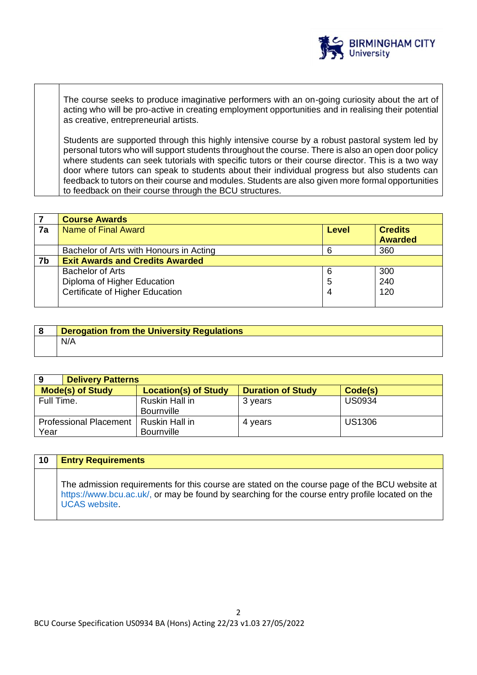

The course seeks to produce imaginative performers with an on-going curiosity about the art of acting who will be pro-active in creating employment opportunities and in realising their potential as creative, entrepreneurial artists.

Students are supported through this highly intensive course by a robust pastoral system led by personal tutors who will support students throughout the course. There is also an open door policy where students can seek tutorials with specific tutors or their course director. This is a two way door where tutors can speak to students about their individual progress but also students can feedback to tutors on their course and modules. Students are also given more formal opportunities to feedback on their course through the BCU structures.

|    | <b>Course Awards</b>                    |       |                |
|----|-----------------------------------------|-------|----------------|
| 7a | Name of Final Award                     | Level | <b>Credits</b> |
|    |                                         |       | <b>Awarded</b> |
|    | Bachelor of Arts with Honours in Acting |       | 360            |
| 7b | <b>Exit Awards and Credits Awarded</b>  |       |                |
|    | <b>Bachelor of Arts</b>                 | 6     | 300            |
|    | Diploma of Higher Education             | 5     | 240            |
|    | Certificate of Higher Education         | 4     | 120            |
|    |                                         |       |                |

| <b>Derogation from the University Regulations</b> |
|---------------------------------------------------|
| N/A                                               |

| <b>Delivery Patterns</b>    |                                 |               |
|-----------------------------|---------------------------------|---------------|
| <b>Location(s) of Study</b> | <b>Duration of Study</b>        | Code(s)       |
| Ruskin Hall in              | 3 years                         | <b>US0934</b> |
| Ruskin Hall in              | 4 years                         | <b>US1306</b> |
|                             | Bournville<br><b>Bournville</b> |               |

| 10 | <b>Entry Requirements</b>                                                                                                                                                                                                  |
|----|----------------------------------------------------------------------------------------------------------------------------------------------------------------------------------------------------------------------------|
|    | The admission requirements for this course are stated on the course page of the BCU website at<br>https://www.bcu.ac.uk/, or may be found by searching for the course entry profile located on the<br><b>UCAS</b> website. |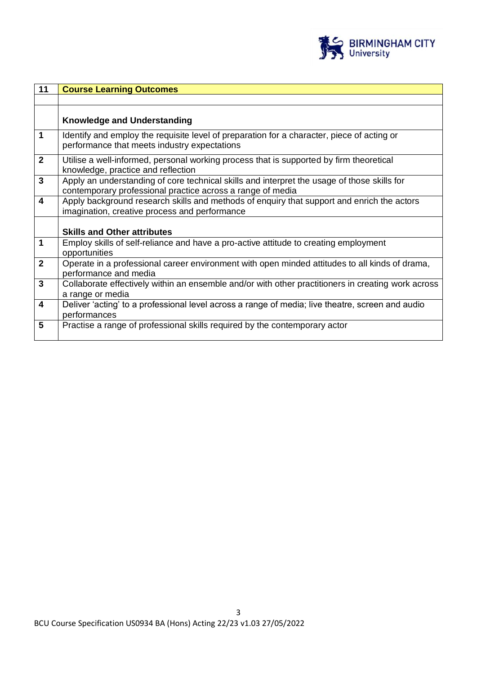

| 11                      | <b>Course Learning Outcomes</b>                                                                                                                           |
|-------------------------|-----------------------------------------------------------------------------------------------------------------------------------------------------------|
|                         |                                                                                                                                                           |
|                         |                                                                                                                                                           |
|                         | <b>Knowledge and Understanding</b>                                                                                                                        |
| $\overline{\mathbf{1}}$ | Identify and employ the requisite level of preparation for a character, piece of acting or<br>performance that meets industry expectations                |
| $\overline{2}$          | Utilise a well-informed, personal working process that is supported by firm theoretical<br>knowledge, practice and reflection                             |
| $\mathbf{3}$            | Apply an understanding of core technical skills and interpret the usage of those skills for<br>contemporary professional practice across a range of media |
| $\overline{\mathbf{4}}$ | Apply background research skills and methods of enquiry that support and enrich the actors<br>imagination, creative process and performance               |
|                         | <b>Skills and Other attributes</b>                                                                                                                        |
| $\overline{1}$          | Employ skills of self-reliance and have a pro-active attitude to creating employment<br>opportunities                                                     |
| $\overline{2}$          | Operate in a professional career environment with open minded attitudes to all kinds of drama,<br>performance and media                                   |
| $\mathbf{3}$            | Collaborate effectively within an ensemble and/or with other practitioners in creating work across<br>a range or media                                    |
| $\overline{4}$          | Deliver 'acting' to a professional level across a range of media; live theatre, screen and audio<br>performances                                          |
| $5\phantom{1}$          | Practise a range of professional skills required by the contemporary actor                                                                                |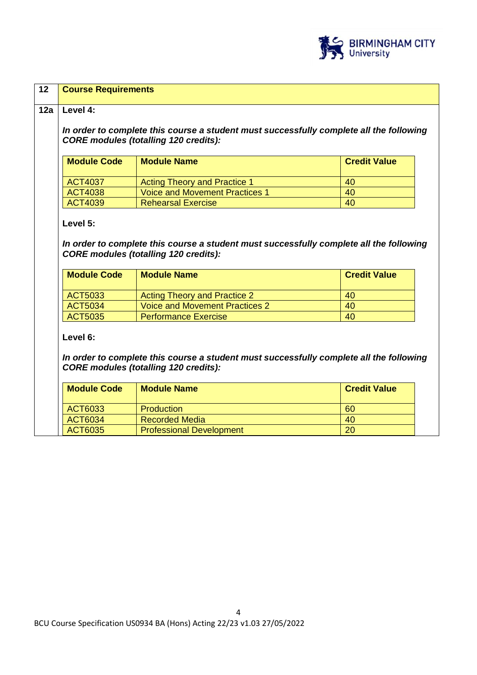

#### **12 Course Requirements**

#### **12a Level 4:**

*In order to complete this course a student must successfully complete all the following CORE modules (totalling 120 credits):*

| <b>Module Code</b>                               | <b>Module Name</b>                  | <b>Credit Value</b> |
|--------------------------------------------------|-------------------------------------|---------------------|
| ACT4037                                          | <b>Acting Theory and Practice 1</b> | 40                  |
| <b>ACT4038</b><br>Voice and Movement Practices 1 |                                     | 40                  |
| ACT4039                                          | <b>Rehearsal Exercise</b>           | 40                  |

#### **Level 5:**

*In order to complete this course a student must successfully complete all the following CORE modules (totalling 120 credits):*

| <b>Module Code</b> | <b>Module Name</b>                  | <b>Credit Value</b> |
|--------------------|-------------------------------------|---------------------|
| ACT5033            | <b>Acting Theory and Practice 2</b> | 40                  |
| ACT5034            | Voice and Movement Practices 2      | 40                  |
| <b>ACT5035</b>     | <b>Performance Exercise</b>         | 40                  |

#### **Level 6:**

*In order to complete this course a student must successfully complete all the following CORE modules (totalling 120 credits):*

| <b>Module Code</b> | <b>Module Name</b>              | <b>Credit Value</b> |  |
|--------------------|---------------------------------|---------------------|--|
| ACT6033            | Production                      | 60                  |  |
| ACT6034            | <b>Recorded Media</b>           | 40                  |  |
| <b>ACT6035</b>     | <b>Professional Development</b> | 20                  |  |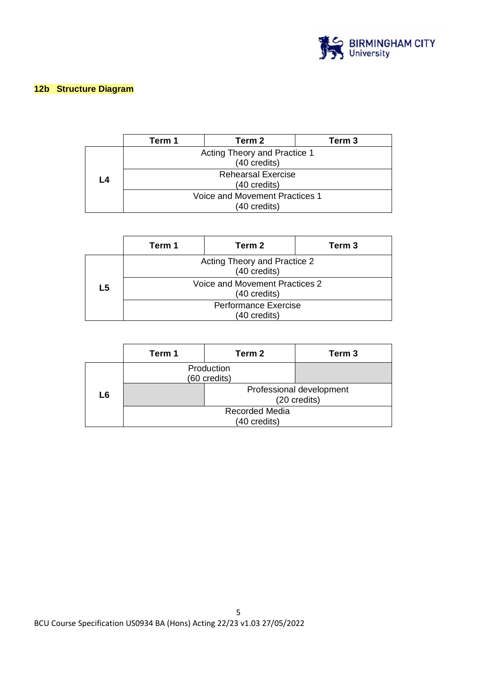

# **12b Structure Diagram**

|    | Term 1                                         | Term 2 | Term 3 |  |
|----|------------------------------------------------|--------|--------|--|
|    | Acting Theory and Practice 1<br>(40 credits)   |        |        |  |
| L4 | <b>Rehearsal Exercise</b><br>(40 credits)      |        |        |  |
|    | Voice and Movement Practices 1<br>(40 credits) |        |        |  |

| Term 1                                         | Term 2 | Term 3       |  |
|------------------------------------------------|--------|--------------|--|
| Acting Theory and Practice 2<br>(40 credits)   |        |              |  |
| Voice and Movement Practices 2<br>(40 credits) |        |              |  |
| <b>Performance Exercise</b>                    |        |              |  |
|                                                |        | (40 credits) |  |

|                | Term 1                                   | Term 2 | Term <sub>3</sub> |  |
|----------------|------------------------------------------|--------|-------------------|--|
|                | Production<br>(60 credits)               |        |                   |  |
| L <sub>6</sub> | Professional development<br>(20 credits) |        |                   |  |
|                | <b>Recorded Media</b><br>(40 credits)    |        |                   |  |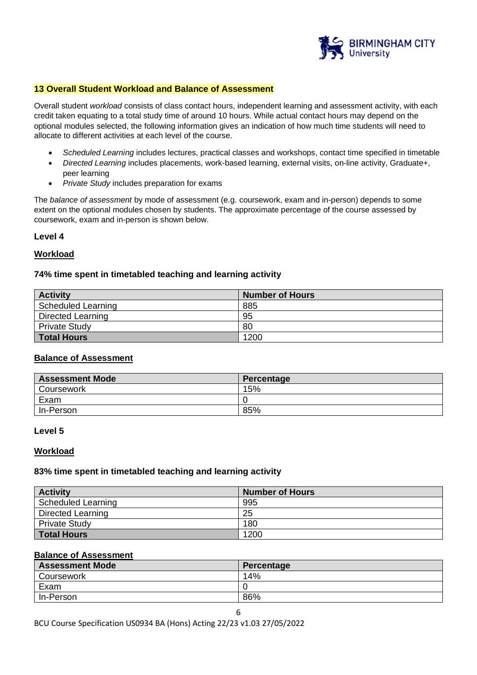

### **13 Overall Student Workload and Balance of Assessment**

Overall student *workload* consists of class contact hours, independent learning and assessment activity, with each credit taken equating to a total study time of around 10 hours. While actual contact hours may depend on the optional modules selected, the following information gives an indication of how much time students will need to allocate to different activities at each level of the course.

- *Scheduled Learning* includes lectures, practical classes and workshops, contact time specified in timetable
- *Directed Learning* includes placements, work-based learning, external visits, on-line activity, Graduate+, peer learning
- *Private Study* includes preparation for exams

The *balance of assessment* by mode of assessment (e.g. coursework, exam and in-person) depends to some extent on the optional modules chosen by students. The approximate percentage of the course assessed by coursework, exam and in-person is shown below.

#### **Level 4**

#### **Workload**

#### **74% time spent in timetabled teaching and learning activity**

| <b>Activity</b>           | <b>Number of Hours</b> |
|---------------------------|------------------------|
| <b>Scheduled Learning</b> | 885                    |
| Directed Learning         | 95                     |
| <b>Private Study</b>      | 80                     |
| Total Hours               | 1200                   |

### **Balance of Assessment**

| <b>Assessment Mode</b> | Percentage |  |
|------------------------|------------|--|
| Coursework             | 15%        |  |
| Exam                   |            |  |
| In-Person              | 85%        |  |

#### **Level 5**

### **Workload**

#### **83% time spent in timetabled teaching and learning activity**

| <b>Activity</b>      | <b>Number of Hours</b> |
|----------------------|------------------------|
| Scheduled Learning   | 995                    |
| Directed Learning    | 25                     |
| <b>Private Study</b> | 180                    |
| <b>Total Hours</b>   | 1200                   |

#### **Balance of Assessment**

| <b>Assessment Mode</b> | Percentage |
|------------------------|------------|
| Coursework             | 14%        |
| Exam                   |            |
| In-Person              | 86%        |